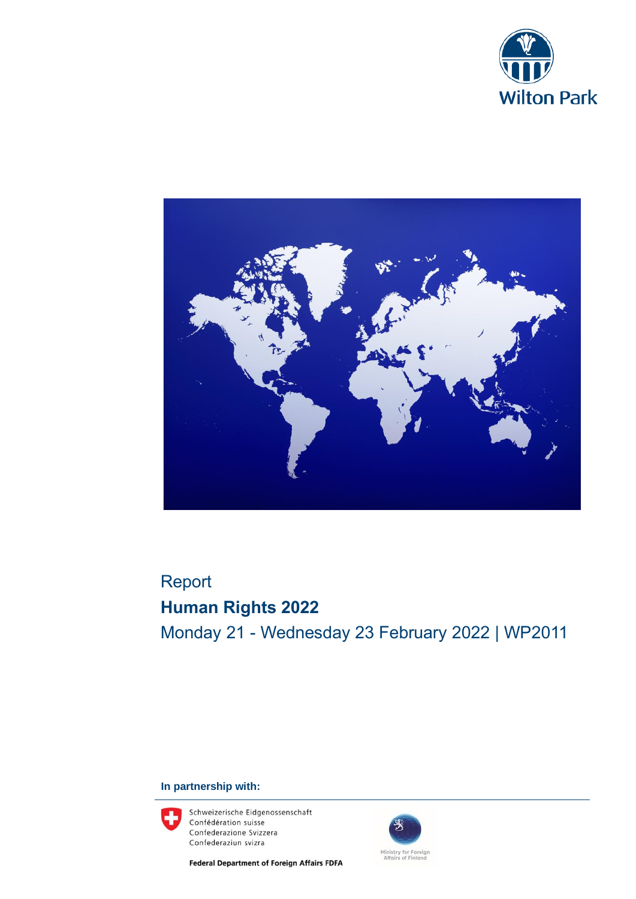



## Report **Human Rights 2022** Monday 21 - Wednesday 23 February 2022 | WP2011

#### **In partnership with:**



Schweizerische Eidgenossenschaft Confédération suisse Confederazione Svizzera Confederaziun svizra

**Federal Department of Foreign Affairs FDFA** 

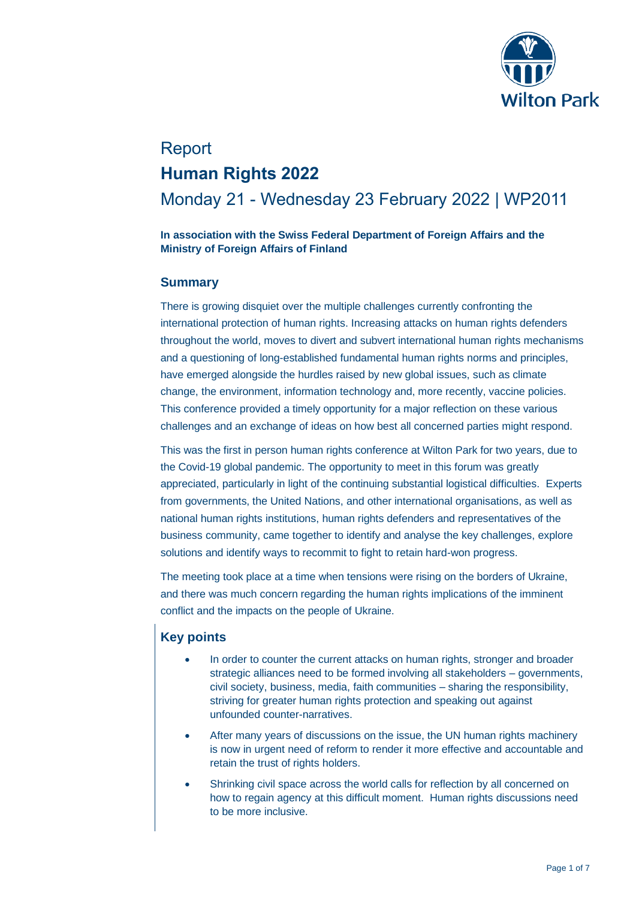

# Report **Human Rights 2022**

### Monday 21 - Wednesday 23 February 2022 | WP2011

#### **In association with the Swiss Federal Department of Foreign Affairs and the Ministry of Foreign Affairs of Finland**

#### **Summary**

There is growing disquiet over the multiple challenges currently confronting the international protection of human rights. Increasing attacks on human rights defenders throughout the world, moves to divert and subvert international human rights mechanisms and a questioning of long-established fundamental human rights norms and principles, have emerged alongside the hurdles raised by new global issues, such as climate change, the environment, information technology and, more recently, vaccine policies. This conference provided a timely opportunity for a major reflection on these various challenges and an exchange of ideas on how best all concerned parties might respond.

This was the first in person human rights conference at Wilton Park for two years, due to the Covid-19 global pandemic. The opportunity to meet in this forum was greatly appreciated, particularly in light of the continuing substantial logistical difficulties. Experts from governments, the United Nations, and other international organisations, as well as national human rights institutions, human rights defenders and representatives of the business community, came together to identify and analyse the key challenges, explore solutions and identify ways to recommit to fight to retain hard-won progress.

The meeting took place at a time when tensions were rising on the borders of Ukraine, and there was much concern regarding the human rights implications of the imminent conflict and the impacts on the people of Ukraine.

#### **Key points**

- In order to counter the current attacks on human rights, stronger and broader strategic alliances need to be formed involving all stakeholders – governments, civil society, business, media, faith communities – sharing the responsibility, striving for greater human rights protection and speaking out against unfounded counter-narratives.
- After many years of discussions on the issue, the UN human rights machinery is now in urgent need of reform to render it more effective and accountable and retain the trust of rights holders.
- Shrinking civil space across the world calls for reflection by all concerned on how to regain agency at this difficult moment. Human rights discussions need to be more inclusive.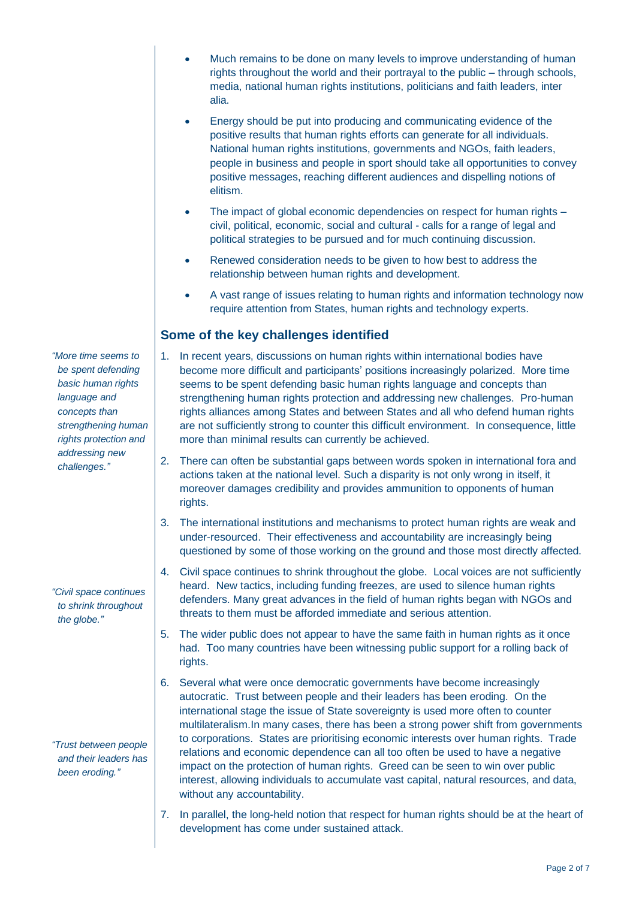- Much remains to be done on many levels to improve understanding of human rights throughout the world and their portrayal to the public – through schools, media, national human rights institutions, politicians and faith leaders, inter alia.
- Energy should be put into producing and communicating evidence of the positive results that human rights efforts can generate for all individuals. National human rights institutions, governments and NGOs, faith leaders, people in business and people in sport should take all opportunities to convey positive messages, reaching different audiences and dispelling notions of elitism.
- The impact of global economic dependencies on respect for human rights civil, political, economic, social and cultural - calls for a range of legal and political strategies to be pursued and for much continuing discussion.
- Renewed consideration needs to be given to how best to address the relationship between human rights and development.
- A vast range of issues relating to human rights and information technology now require attention from States, human rights and technology experts.

#### **Some of the key challenges identified**

- 1. In recent years, discussions on human rights within international bodies have become more difficult and participants' positions increasingly polarized. More time seems to be spent defending basic human rights language and concepts than strengthening human rights protection and addressing new challenges. Pro-human rights alliances among States and between States and all who defend human rights are not sufficiently strong to counter this difficult environment. In consequence, little more than minimal results can currently be achieved.
- 2. There can often be substantial gaps between words spoken in international fora and actions taken at the national level. Such a disparity is not only wrong in itself, it moreover damages credibility and provides ammunition to opponents of human rights.
- 3. The international institutions and mechanisms to protect human rights are weak and under-resourced. Their effectiveness and accountability are increasingly being questioned by some of those working on the ground and those most directly affected.
- 4. Civil space continues to shrink throughout the globe. Local voices are not sufficiently heard. New tactics, including funding freezes, are used to silence human rights defenders. Many great advances in the field of human rights began with NGOs and threats to them must be afforded immediate and serious attention.
- 5. The wider public does not appear to have the same faith in human rights as it once had. Too many countries have been witnessing public support for a rolling back of rights.
- 6. Several what were once democratic governments have become increasingly autocratic. Trust between people and their leaders has been eroding. On the international stage the issue of State sovereignty is used more often to counter multilateralism.In many cases, there has been a strong power shift from governments to corporations. States are prioritising economic interests over human rights. Trade relations and economic dependence can all too often be used to have a negative impact on the protection of human rights. Greed can be seen to win over public interest, allowing individuals to accumulate vast capital, natural resources, and data, without any accountability.
- 7. In parallel, the long-held notion that respect for human rights should be at the heart of development has come under sustained attack.

*"More time seems to be spent defending basic human rights language and concepts than strengthening human rights protection and addressing new challenges."* 

*"Civil space continues to shrink throughout the globe."*

*"Trust between people and their leaders has been eroding."*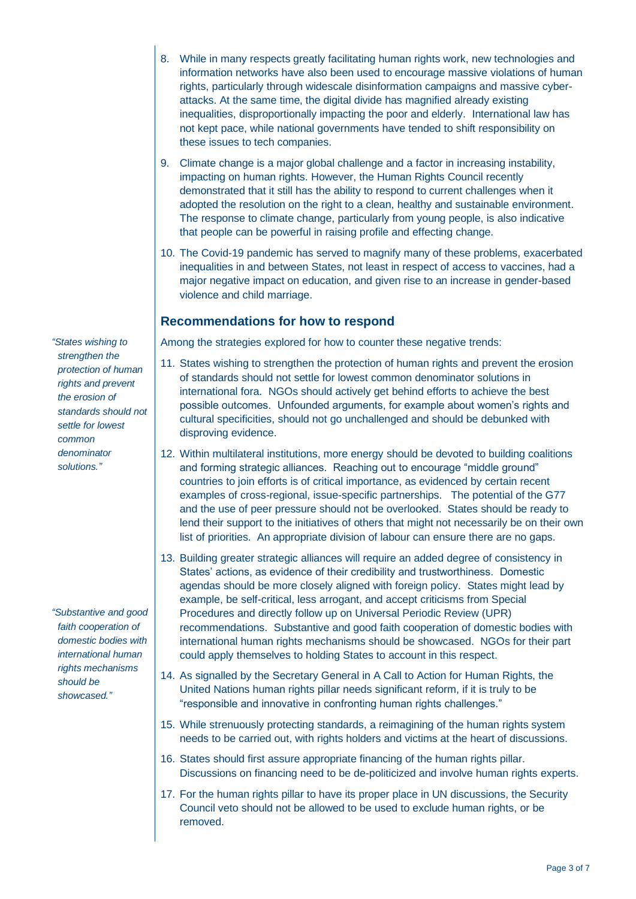- 8. While in many respects greatly facilitating human rights work, new technologies and information networks have also been used to encourage massive violations of human rights, particularly through widescale disinformation campaigns and massive cyberattacks. At the same time, the digital divide has magnified already existing inequalities, disproportionally impacting the poor and elderly. International law has not kept pace, while national governments have tended to shift responsibility on these issues to tech companies.
- 9. Climate change is a major global challenge and a factor in increasing instability, impacting on human rights. However, the Human Rights Council recently demonstrated that it still has the ability to respond to current challenges when it adopted the resolution on the right to a clean, healthy and sustainable environment. The response to climate change, particularly from young people, is also indicative that people can be powerful in raising profile and effecting change.
- 10. The Covid-19 pandemic has served to magnify many of these problems, exacerbated inequalities in and between States, not least in respect of access to vaccines, had a major negative impact on education, and given rise to an increase in gender-based violence and child marriage.

#### **Recommendations for how to respond**

Among the strategies explored for how to counter these negative trends:

- 11. States wishing to strengthen the protection of human rights and prevent the erosion of standards should not settle for lowest common denominator solutions in international fora. NGOs should actively get behind efforts to achieve the best possible outcomes. Unfounded arguments, for example about women's rights and cultural specificities, should not go unchallenged and should be debunked with disproving evidence.
- 12. Within multilateral institutions, more energy should be devoted to building coalitions and forming strategic alliances. Reaching out to encourage "middle ground" countries to join efforts is of critical importance, as evidenced by certain recent examples of cross-regional, issue-specific partnerships. The potential of the G77 and the use of peer pressure should not be overlooked. States should be ready to lend their support to the initiatives of others that might not necessarily be on their own list of priorities. An appropriate division of labour can ensure there are no gaps.
- 13. Building greater strategic alliances will require an added degree of consistency in States' actions, as evidence of their credibility and trustworthiness. Domestic agendas should be more closely aligned with foreign policy. States might lead by example, be self-critical, less arrogant, and accept criticisms from Special Procedures and directly follow up on Universal Periodic Review (UPR) recommendations. Substantive and good faith cooperation of domestic bodies with international human rights mechanisms should be showcased. NGOs for their part could apply themselves to holding States to account in this respect.
- 14. As signalled by the Secretary General in A Call to Action for Human Rights, the United Nations human rights pillar needs significant reform, if it is truly to be "responsible and innovative in confronting human rights challenges."
- 15. While strenuously protecting standards, a reimagining of the human rights system needs to be carried out, with rights holders and victims at the heart of discussions.
- 16. States should first assure appropriate financing of the human rights pillar. Discussions on financing need to be de-politicized and involve human rights experts.
- 17. For the human rights pillar to have its proper place in UN discussions, the Security Council veto should not be allowed to be used to exclude human rights, or be removed.

*"States wishing to strengthen the protection of human rights and prevent the erosion of standards should not settle for lowest common denominator solutions."*

*"Substantive and good faith cooperation of domestic bodies with international human rights mechanisms should be showcased."*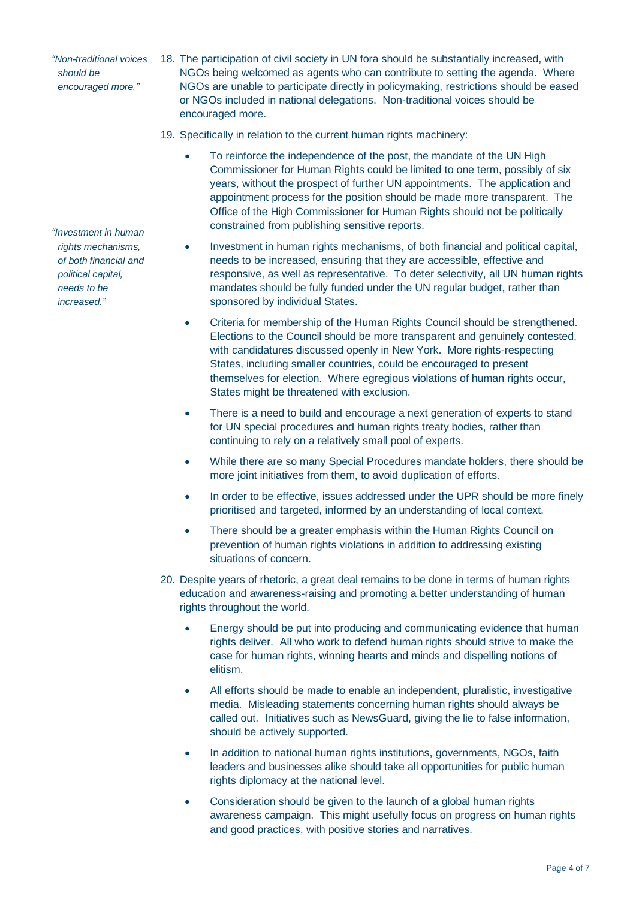*"Non-traditional voices should be encouraged more."*

*"Investment in human rights mechanisms, of both financial and political capital, needs to be increased."*

- 18. The participation of civil society in UN fora should be substantially increased, with NGOs being welcomed as agents who can contribute to setting the agenda. Where NGOs are unable to participate directly in policymaking, restrictions should be eased or NGOs included in national delegations. Non-traditional voices should be encouraged more.
- 19. Specifically in relation to the current human rights machinery:
	- To reinforce the independence of the post, the mandate of the UN High Commissioner for Human Rights could be limited to one term, possibly of six years, without the prospect of further UN appointments. The application and appointment process for the position should be made more transparent. The Office of the High Commissioner for Human Rights should not be politically constrained from publishing sensitive reports.
	- Investment in human rights mechanisms, of both financial and political capital, needs to be increased, ensuring that they are accessible, effective and responsive, as well as representative. To deter selectivity, all UN human rights mandates should be fully funded under the UN regular budget, rather than sponsored by individual States.
	- Criteria for membership of the Human Rights Council should be strengthened. Elections to the Council should be more transparent and genuinely contested, with candidatures discussed openly in New York. More rights-respecting States, including smaller countries, could be encouraged to present themselves for election. Where egregious violations of human rights occur, States might be threatened with exclusion.
	- There is a need to build and encourage a next generation of experts to stand for UN special procedures and human rights treaty bodies, rather than continuing to rely on a relatively small pool of experts.
	- While there are so many Special Procedures mandate holders, there should be more joint initiatives from them, to avoid duplication of efforts.
	- In order to be effective, issues addressed under the UPR should be more finely prioritised and targeted, informed by an understanding of local context.
	- There should be a greater emphasis within the Human Rights Council on prevention of human rights violations in addition to addressing existing situations of concern.
- 20. Despite years of rhetoric, a great deal remains to be done in terms of human rights education and awareness-raising and promoting a better understanding of human rights throughout the world.
	- Energy should be put into producing and communicating evidence that human rights deliver. All who work to defend human rights should strive to make the case for human rights, winning hearts and minds and dispelling notions of elitism.
	- All efforts should be made to enable an independent, pluralistic, investigative media. Misleading statements concerning human rights should always be called out. Initiatives such as NewsGuard, giving the lie to false information, should be actively supported.
	- In addition to national human rights institutions, governments, NGOs, faith leaders and businesses alike should take all opportunities for public human rights diplomacy at the national level.
	- Consideration should be given to the launch of a global human rights awareness campaign. This might usefully focus on progress on human rights and good practices, with positive stories and narratives.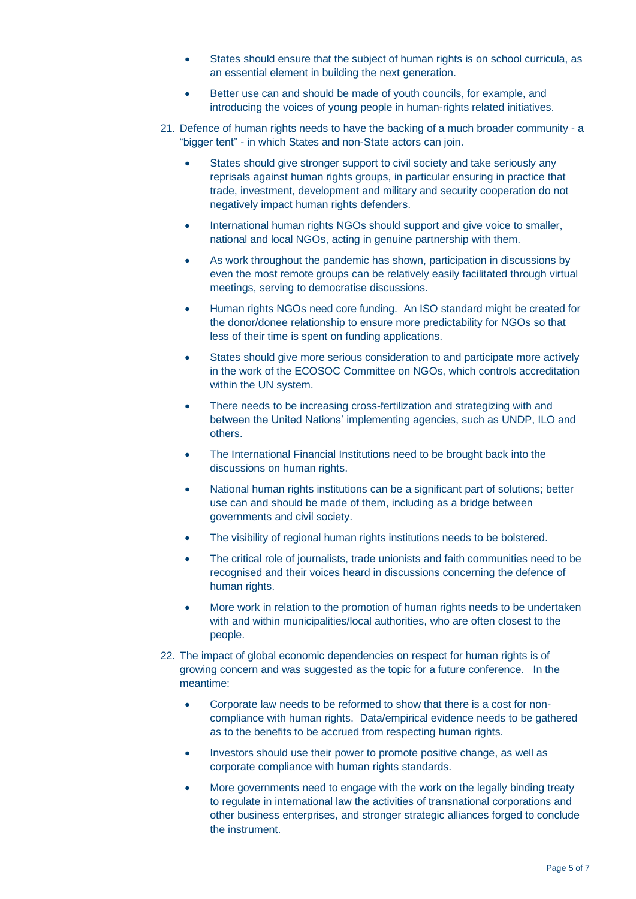- States should ensure that the subject of human rights is on school curricula, as an essential element in building the next generation.
- Better use can and should be made of youth councils, for example, and introducing the voices of young people in human-rights related initiatives.
- 21. Defence of human rights needs to have the backing of a much broader community a "bigger tent" - in which States and non-State actors can join.
	- States should give stronger support to civil society and take seriously any reprisals against human rights groups, in particular ensuring in practice that trade, investment, development and military and security cooperation do not negatively impact human rights defenders.
	- International human rights NGOs should support and give voice to smaller, national and local NGOs, acting in genuine partnership with them.
	- As work throughout the pandemic has shown, participation in discussions by even the most remote groups can be relatively easily facilitated through virtual meetings, serving to democratise discussions.
	- Human rights NGOs need core funding. An ISO standard might be created for the donor/donee relationship to ensure more predictability for NGOs so that less of their time is spent on funding applications.
	- States should give more serious consideration to and participate more actively in the work of the ECOSOC Committee on NGOs, which controls accreditation within the UN system.
	- There needs to be increasing cross-fertilization and strategizing with and between the United Nations' implementing agencies, such as UNDP, ILO and others.
	- The International Financial Institutions need to be brought back into the discussions on human rights.
	- National human rights institutions can be a significant part of solutions; better use can and should be made of them, including as a bridge between governments and civil society.
	- The visibility of regional human rights institutions needs to be bolstered.
	- The critical role of journalists, trade unionists and faith communities need to be recognised and their voices heard in discussions concerning the defence of human rights.
	- More work in relation to the promotion of human rights needs to be undertaken with and within municipalities/local authorities, who are often closest to the people.
- 22. The impact of global economic dependencies on respect for human rights is of growing concern and was suggested as the topic for a future conference. In the meantime:
	- Corporate law needs to be reformed to show that there is a cost for noncompliance with human rights. Data/empirical evidence needs to be gathered as to the benefits to be accrued from respecting human rights.
	- Investors should use their power to promote positive change, as well as corporate compliance with human rights standards.
	- More governments need to engage with the work on the legally binding treaty to regulate in international law the activities of transnational corporations and other business enterprises, and stronger strategic alliances forged to conclude the instrument.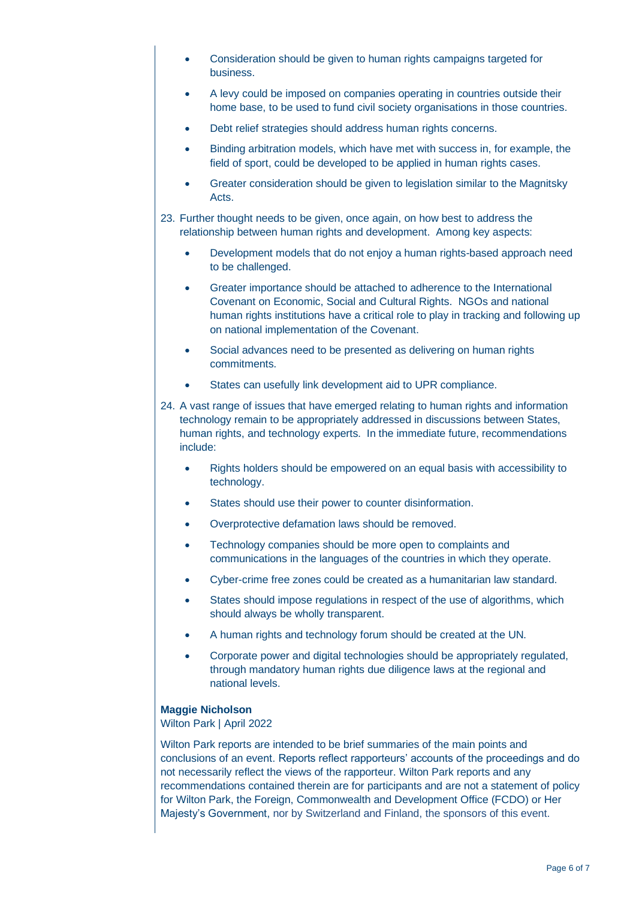- Consideration should be given to human rights campaigns targeted for business.
- A levy could be imposed on companies operating in countries outside their home base, to be used to fund civil society organisations in those countries.
- Debt relief strategies should address human rights concerns.
- Binding arbitration models, which have met with success in, for example, the field of sport, could be developed to be applied in human rights cases.
- Greater consideration should be given to legislation similar to the Magnitsky Acts.
- 23. Further thought needs to be given, once again, on how best to address the relationship between human rights and development. Among key aspects:
	- Development models that do not enjoy a human rights-based approach need to be challenged.
	- Greater importance should be attached to adherence to the International Covenant on Economic, Social and Cultural Rights. NGOs and national human rights institutions have a critical role to play in tracking and following up on national implementation of the Covenant.
	- Social advances need to be presented as delivering on human rights commitments.
	- States can usefully link development aid to UPR compliance.
- 24. A vast range of issues that have emerged relating to human rights and information technology remain to be appropriately addressed in discussions between States, human rights, and technology experts. In the immediate future, recommendations include:
	- Rights holders should be empowered on an equal basis with accessibility to technology.
	- States should use their power to counter disinformation.
	- Overprotective defamation laws should be removed.
	- Technology companies should be more open to complaints and communications in the languages of the countries in which they operate.
	- Cyber-crime free zones could be created as a humanitarian law standard.
	- States should impose regulations in respect of the use of algorithms, which should always be wholly transparent.
	- A human rights and technology forum should be created at the UN.
	- Corporate power and digital technologies should be appropriately regulated, through mandatory human rights due diligence laws at the regional and national levels.

#### **Maggie Nicholson**

Wilton Park | April 2022

Wilton Park reports are intended to be brief summaries of the main points and conclusions of an event. Reports reflect rapporteurs' accounts of the proceedings and do not necessarily reflect the views of the rapporteur. Wilton Park reports and any recommendations contained therein are for participants and are not a statement of policy for Wilton Park, the Foreign, Commonwealth and Development Office (FCDO) or Her Majesty's Government, nor by Switzerland and Finland, the sponsors of this event.